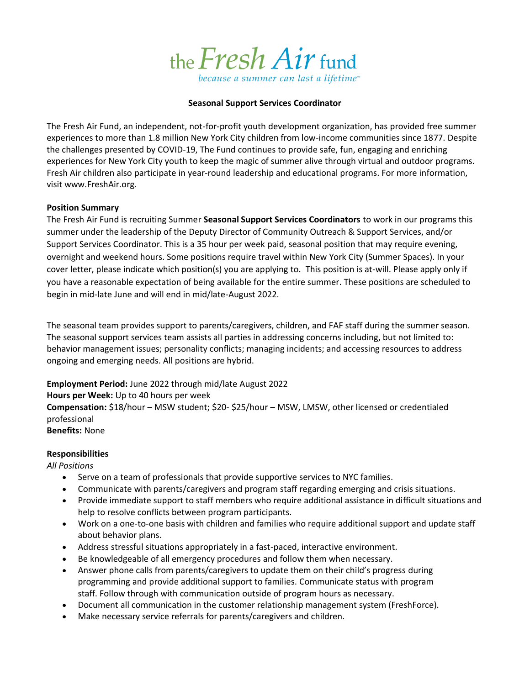

### **Seasonal Support Services Coordinator**

The Fresh Air Fund, an independent, not-for-profit youth development organization, has provided free summer experiences to more than 1.8 million New York City children from low-income communities since 1877. Despite the challenges presented by COVID-19, The Fund continues to provide safe, fun, engaging and enriching experiences for New York City youth to keep the magic of summer alive through virtual and outdoor programs. Fresh Air children also participate in year-round leadership and educational programs. For more information, visit www.FreshAir.org.

#### **Position Summary**

The Fresh Air Fund is recruiting Summer **Seasonal Support Services Coordinators** to work in our programs this summer under the leadership of the Deputy Director of Community Outreach & Support Services, and/or Support Services Coordinator. This is a 35 hour per week paid, seasonal position that may require evening, overnight and weekend hours. Some positions require travel within New York City (Summer Spaces). In your cover letter, please indicate which position(s) you are applying to. This position is at-will. Please apply only if you have a reasonable expectation of being available for the entire summer. These positions are scheduled to begin in mid-late June and will end in mid/late-August 2022.

The seasonal team provides support to parents/caregivers, children, and FAF staff during the summer season. The seasonal support services team assists all parties in addressing concerns including, but not limited to: behavior management issues; personality conflicts; managing incidents; and accessing resources to address ongoing and emerging needs. All positions are hybrid.

**Employment Period:** June 2022 through mid/late August 2022

### **Hours per Week:** Up to 40 hours per week

**Compensation:** \$18/hour – MSW student; \$20- \$25/hour – MSW, LMSW, other licensed or credentialed professional

**Benefits:** None

### **Responsibilities**

### *All Positions*

- Serve on a team of professionals that provide supportive services to NYC families.
- Communicate with parents/caregivers and program staff regarding emerging and crisis situations.
- Provide immediate support to staff members who require additional assistance in difficult situations and help to resolve conflicts between program participants.
- Work on a one-to-one basis with children and families who require additional support and update staff about behavior plans.
- Address stressful situations appropriately in a fast-paced, interactive environment.
- Be knowledgeable of all emergency procedures and follow them when necessary.
- Answer phone calls from parents/caregivers to update them on their child's progress during programming and provide additional support to families. Communicate status with program staff. Follow through with communication outside of program hours as necessary.
- Document all communication in the customer relationship management system (FreshForce).
- Make necessary service referrals for parents/caregivers and children.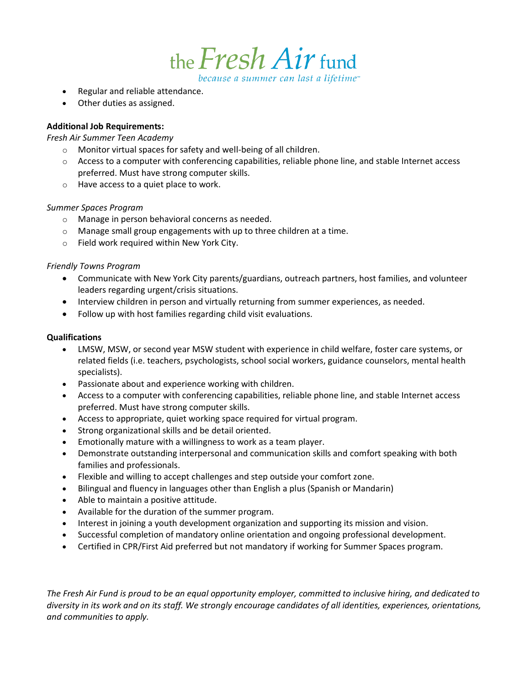the *Fresh Air* fund because a summer can last a lifetime<sup>®</sup>

• Regular and reliable attendance.

• Other duties as assigned.

## **Additional Job Requirements:**

## *Fresh Air Summer Teen Academy*

- o Monitor virtual spaces for safety and well-being of all children.
- $\circ$  Access to a computer with conferencing capabilities, reliable phone line, and stable Internet access preferred. Must have strong computer skills.
- o Have access to a quiet place to work.

## *Summer Spaces Program*

- o Manage in person behavioral concerns as needed.
- o Manage small group engagements with up to three children at a time.
- o Field work required within New York City.

# *Friendly Towns Program*

- Communicate with New York City parents/guardians, outreach partners, host families, and volunteer leaders regarding urgent/crisis situations.
- Interview children in person and virtually returning from summer experiences, as needed.
- Follow up with host families regarding child visit evaluations.

## **Qualifications**

- LMSW, MSW, or second year MSW student with experience in child welfare, foster care systems, or related fields (i.e. teachers, psychologists, school social workers, guidance counselors, mental health specialists).
- Passionate about and experience working with children.
- Access to a computer with conferencing capabilities, reliable phone line, and stable Internet access preferred. Must have strong computer skills.
- Access to appropriate, quiet working space required for virtual program.
- Strong organizational skills and be detail oriented.
- Emotionally mature with a willingness to work as a team player.
- Demonstrate outstanding interpersonal and communication skills and comfort speaking with both families and professionals.
- Flexible and willing to accept challenges and step outside your comfort zone.
- Bilingual and fluency in languages other than English a plus (Spanish or Mandarin)
- Able to maintain a positive attitude.
- Available for the duration of the summer program.
- Interest in joining a youth development organization and supporting its mission and vision.
- Successful completion of mandatory online orientation and ongoing professional development.
- Certified in CPR/First Aid preferred but not mandatory if working for Summer Spaces program.

*The Fresh Air Fund is proud to be an equal opportunity employer, committed to inclusive hiring, and dedicated to diversity in its work and on its staff. We strongly encourage candidates of all identities, experiences, orientations, and communities to apply.*